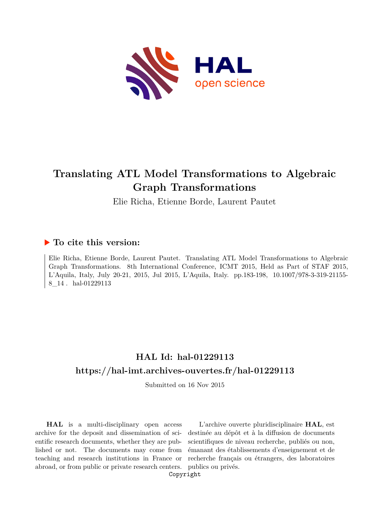

# **Translating ATL Model Transformations to Algebraic Graph Transformations**

Elie Richa, Etienne Borde, Laurent Pautet

# **To cite this version:**

Elie Richa, Etienne Borde, Laurent Pautet. Translating ATL Model Transformations to Algebraic Graph Transformations. 8th International Conference, ICMT 2015, Held as Part of STAF 2015, L'Aquila, Italy, July 20-21, 2015, Jul 2015, L'Aquila, Italy. pp.183-198, 10.1007/978-3-319-21155- $8$  14. hal-01229113

# **HAL Id: hal-01229113 <https://hal-imt.archives-ouvertes.fr/hal-01229113>**

Submitted on 16 Nov 2015

**HAL** is a multi-disciplinary open access archive for the deposit and dissemination of scientific research documents, whether they are published or not. The documents may come from teaching and research institutions in France or abroad, or from public or private research centers.

L'archive ouverte pluridisciplinaire **HAL**, est destinée au dépôt et à la diffusion de documents scientifiques de niveau recherche, publiés ou non, émanant des établissements d'enseignement et de recherche français ou étrangers, des laboratoires publics ou privés.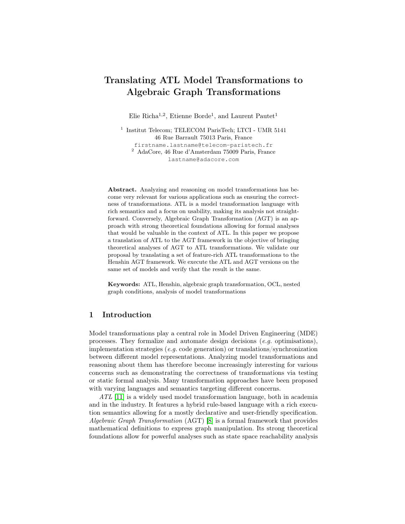# Translating ATL Model Transformations to Algebraic Graph Transformations

Elie Richa<sup>1,2</sup>, Etienne Borde<sup>1</sup>, and Laurent Pautet<sup>1</sup>

<sup>1</sup> Institut Telecom; TELECOM ParisTech; LTCI - UMR 5141 46 Rue Barrault 75013 Paris, France firstname.lastname@telecom-paristech.fr  $^2\,$  AdaCore, 46 Rue d'Amsterdam 75009 Paris, France lastname@adacore.com

Abstract. Analyzing and reasoning on model transformations has become very relevant for various applications such as ensuring the correctness of transformations. ATL is a model transformation language with rich semantics and a focus on usability, making its analysis not straightforward. Conversely, Algebraic Graph Transformation (AGT) is an approach with strong theoretical foundations allowing for formal analyses that would be valuable in the context of ATL. In this paper we propose a translation of ATL to the AGT framework in the objective of bringing theoretical analyses of AGT to ATL transformations. We validate our proposal by translating a set of feature-rich ATL transformations to the Henshin AGT framework. We execute the ATL and AGT versions on the same set of models and verify that the result is the same.

Keywords: ATL, Henshin, algebraic graph transformation, OCL, nested graph conditions, analysis of model transformations

# 1 Introduction

Model transformations play a central role in Model Driven Engineering (MDE) processes. They formalize and automate design decisions (e.g. optimisations), implementation strategies (*e.g.* code generation) or translations/synchronization between different model representations. Analyzing model transformations and reasoning about them has therefore become increasingly interesting for various concerns such as demonstrating the correctness of transformations via testing or static formal analysis. Many transformation approaches have been proposed with varying languages and semantics targeting different concerns.

ATL [11] is a widely used model transformation language, both in academia and in the industry. It features a hybrid rule-based language with a rich execution semantics allowing for a mostly declarative and user-friendly specification. Algebraic Graph Transformation (AGT) [8] is a formal framework that provides mathematical definitions to express graph manipulation. Its strong theoretical foundations allow for powerful analyses such as state space reachability analysis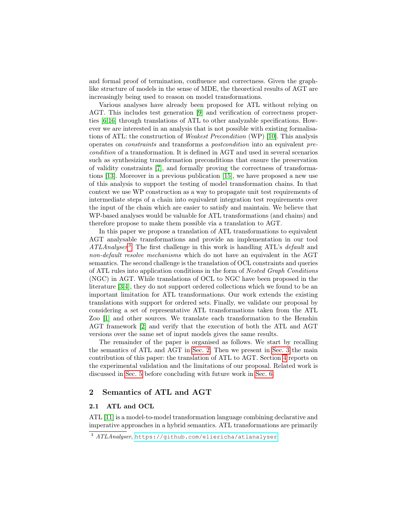and formal proof of termination, confluence and correctness. Given the graphlike structure of models in the sense of MDE, the theoretical results of AGT are increasingly being used to reason on model transformations.

Various analyses have already been proposed for ATL without relying on AGT. This includes test generation [9] and verification of correctness properties [6,16] through translations of ATL to other analyzable specifications. However we are interested in an analysis that is not possible with existing formalisations of ATL: the construction of Weakest Precondition (WP) [10]. This analysis operates on constraints and transforms a postcondition into an equivalent precondition of a transformation. It is defined in AGT and used in several scenarios such as synthesizing transformation preconditions that ensure the preservation of validity constraints [7], and formally proving the correctness of transformations [13]. Moreover in a previous publication [15], we have proposed a new use of this analysis to support the testing of model transformation chains. In that context we use WP construction as a way to propagate unit test requirements of intermediate steps of a chain into equivalent integration test requirements over the input of the chain which are easier to satisfy and maintain. We believe that WP-based analyses would be valuable for ATL transformations (and chains) and therefore propose to make them possible via a translation to AGT.

In this paper we propose a translation of ATL transformations to equivalent AGT analysable transformations and provide an implementation in our tool  $ATLAnalyser<sup>3</sup>$ . The first challenge in this work is handling ATL's *default* and non-default resolve mechanisms which do not have an equivalent in the AGT semantics. The second challenge is the translation of OCL constraints and queries of ATL rules into application conditions in the form of Nested Graph Conditions (NGC) in AGT. While translations of OCL to NGC have been proposed in the literature [3,4], they do not support ordered collections which we found to be an important limitation for ATL transformations. Our work extends the existing translations with support for ordered sets. Finally, we validate our proposal by considering a set of representative ATL transformations taken from the ATL Zoo [1] and other sources. We translate each transformation to the Henshin AGT framework [2] and verify that the execution of both the ATL and AGT versions over the same set of input models gives the same results.

The remainder of the paper is organised as follows. We start by recalling the semantics of ATL and AGT in Sec. 2. Then we present in Sec. 3 the main contribution of this paper: the translation of ATL to AGT. Section 4 reports on the experimental validation and the limitations of our proposal. Related work is discussed in Sec. 5 before concluding with future work in Sec. 6.

# 2 Semantics of ATL and AGT

#### 2.1 ATL and OCL

ATL [11] is a model-to-model transformation language combining declarative and imperative approaches in a hybrid semantics. ATL transformations are primarily

<sup>3</sup> ATLAnalyser, <https://github.com/eliericha/atlanalyser>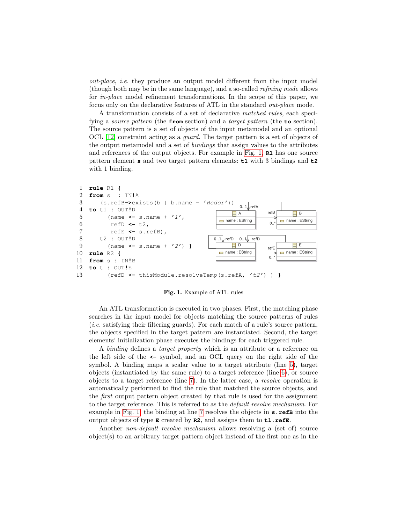out-place, i.e. they produce an output model different from the input model (though both may be in the same language), and a so-called refining mode allows for in-place model refinement transformations. In the scope of this paper, we focus only on the declarative features of ATL in the standard out-place mode.

A transformation consists of a set of declarative matched rules, each specifying a source pattern (the **from** section) and a target pattern (the **to** section). The source pattern is a set of objects of the input metamodel and an optional OCL [12] constraint acting as a guard. The target pattern is a set of objects of the output metamodel and a set of bindings that assign values to the attributes and references of the output objects. For example in Fig. 1, **R1** has one source pattern element **s** and two target pattern elements: **t1** with 3 bindings and **t2** with 1 binding.



Fig. 1. Example of ATL rules

An ATL transformation is executed in two phases. First, the matching phase searches in the input model for objects matching the source patterns of rules (i.e. satisfying their filtering guards). For each match of a rule's source pattern, the objects specified in the target pattern are instantiated. Second, the target elements' initialization phase executes the bindings for each triggered rule.

A binding defines a target property which is an attribute or a reference on the left side of the **<-** symbol, and an OCL query on the right side of the symbol. A binding maps a scalar value to a target attribute (line 5), target objects (instantiated by the same rule) to a target reference (line 6), or source objects to a target reference (line 7). In the latter case, a resolve operation is automatically performed to find the rule that matched the source objects, and the first output pattern object created by that rule is used for the assignment to the target reference. This is referred to as the default resolve mechanism. For example in Fig. 1, the binding at line 7 resolves the objects in **s.refB** into the output objects of type **E** created by **R2**, and assigns them to **t1.refE**.

Another non-default resolve mechanism allows resolving a (set of) source  $object(s)$  to an arbitrary target pattern object instead of the first one as in the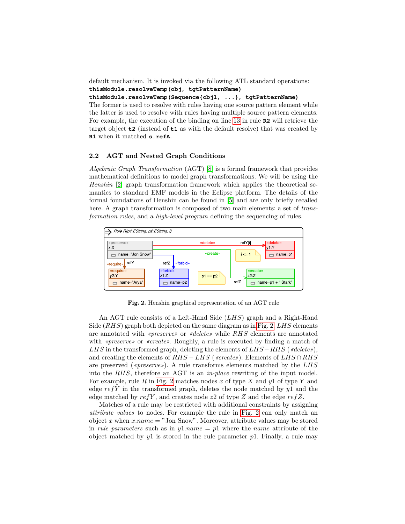default mechanism. It is invoked via the following ATL standard operations: **thisModule.resolveTemp(obj, tgtPatternName)**

**thisModule.resolveTemp(Sequence{obj1, ...}, tgtPatternName)** The former is used to resolve with rules having one source pattern element while the latter is used to resolve with rules having multiple source pattern elements. For example, the execution of the binding on line 13 in rule **R2** will retrieve the target object **t2** (instead of **t1** as with the default resolve) that was created by **R1** when it matched **s.refA**.

#### 2.2 AGT and Nested Graph Conditions

Algebraic Graph Transformation (AGT) [8] is a formal framework that provides mathematical definitions to model graph transformations. We will be using the Henshin [2] graph transformation framework which applies the theoretical semantics to standard EMF models in the Eclipse platform. The details of the formal foundations of Henshin can be found in [5] and are only briefly recalled here. A graph transformation is composed of two main elements: a set of *trans*formation rules, and a high-level program defining the sequencing of rules.



Fig. 2. Henshin graphical representation of an AGT rule

An AGT rule consists of a Left-Hand Side (LHS) graph and a Right-Hand Side  $(RHS)$  graph both depicted on the same diagram as in Fig. 2. LHS elements are annotated with «preserve» or «delete» while RHS elements are annotated with «*preserve*» or «*create»*. Roughly, a rule is executed by finding a match of LHS in the transformed graph, deleting the elements of  $LHS-RHS$  («delete»), and creating the elements of  $RHS - LHS$  («create»). Elements of  $LHS \cap RHS$ are preserved («preserve»). A rule transforms elements matched by the  $LHS$ into the RHS, therefore an AGT is an in-place rewriting of the input model. For example, rule R in Fig. 2 matches nodes x of type X and y1 of type Y and edge  $refY$  in the transformed graph, deletes the node matched by  $y1$  and the edge matched by  $refY$ , and creates node  $z2$  of type Z and the edge  $refZ$ .

Matches of a rule may be restricted with additional constraints by assigning attribute values to nodes. For example the rule in Fig. 2 can only match an object x when  $x.name = "Jon Snow"$ . Moreover, attribute values may be stored in rule parameters such as in  $y1.name = p1$  where the name attribute of the object matched by  $y_1$  is stored in the rule parameter p1. Finally, a rule may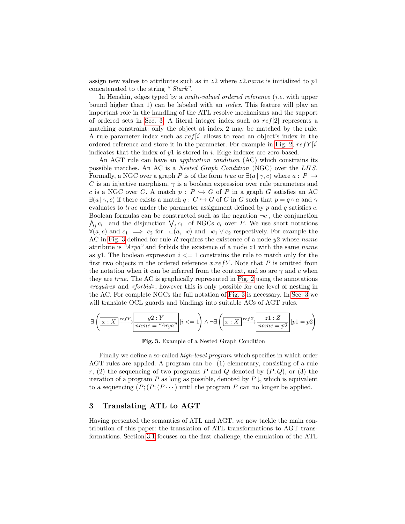assign new values to attributes such as in  $z2$  where  $z2.name$  is initialized to p1 concatenated to the string " Stark".

In Henshin, edges typed by a *multi-valued ordered reference (i.e.* with upper bound higher than 1) can be labeled with an index. This feature will play an important role in the handling of the ATL resolve mechanisms and the support of ordered sets in Sec. 3. A literal integer index such as  $ref[2]$  represents a matching constraint: only the object at index 2 may be matched by the rule. A rule parameter index such as  $ref[i]$  allows to read an object's index in the ordered reference and store it in the parameter. For example in Fig. 2,  $refY[i]$ indicates that the index of  $y1$  is stored in i. Edge indexes are zero-based.

An AGT rule can have an *application condition* (AC) which constrains its possible matches. An AC is a Nested Graph Condition (NGC) over the LHS. Formally, a NGC over a graph P is of the form true or  $\exists (a | \gamma, c)$  where  $a : P \rightarrow$ C is an injective morphism,  $\gamma$  is a boolean expression over rule parameters and c is a NGC over C. A match  $p: P \hookrightarrow G$  of P in a graph G satisfies an AC  $\exists (a | \gamma, c)$  if there exists a match  $q: C \hookrightarrow G$  of C in G such that  $p = q \circ a$  and  $\gamma$ evaluates to *true* under the parameter assignment defined by  $p$  and  $q$  satisfies  $c$ . Boolean formulas can be constructed such as the negation  $\neg c$ , the conjunction  $\bigwedge_i c_i$  and the disjunction  $\bigvee_i c_i$  of NGCs  $c_i$  over P. We use short notations  $\forall (a, c)$  and  $c_1 \implies c_2$  for  $\neg \exists (a, \neg c)$  and  $\neg c_1 \lor c_2$  respectively. For example the AC in Fig. 3 defined for rule  $R$  requires the existence of a node  $y2$  whose name attribute is " $Arga$ " and forbids the existence of a node  $z1$  with the same name as y1. The boolean expression  $i \leq 1$  constrains the rule to match only for the first two objects in the ordered reference  $x.refY$ . Note that P is omitted from the notation when it can be inferred from the context, and so are  $\gamma$  and c when they are true. The AC is graphically represented in Fig. 2 using the annotations «require» and «forbid», however this is only possible for one level of nesting in the AC. For complete NGCs the full notation of Fig. 3 is necessary. In Sec. 3 we will translate OCL guards and bindings into suitable ACs of AGT rules.

$$
\exists \left( \boxed{x : X \stackrel{refY}{\longrightarrow} \boxed{name = "Arga"}} | i \leq 1 \right) \land \neg \exists \left( \boxed{x : X \stackrel{refZ}{\longrightarrow} \boxed{z1 : Z} \boxed{p1 = p2} \right) | p1 = p2 \right)
$$

Fig. 3. Example of a Nested Graph Condition

Finally we define a so-called high-level program which specifies in which order AGT rules are applied. A program can be (1) elementary, consisting of a rule r, (2) the sequencing of two programs P and Q denoted by  $(P; Q)$ , or (3) the iteration of a program P as long as possible, denoted by  $P\downarrow$ , which is equivalent to a sequencing  $(P; (P; (P \cdots))$  until the program P can no longer be applied.

## 3 Translating ATL to AGT

Having presented the semantics of ATL and AGT, we now tackle the main contribution of this paper: the translation of ATL transformations to AGT transformations. Section 3.1 focuses on the first challenge, the emulation of the ATL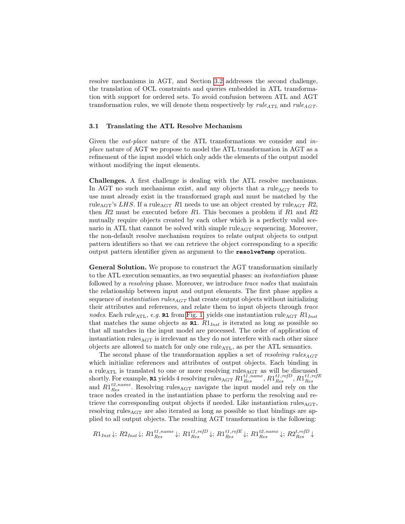resolve mechanisms in AGT, and Section 3.2 addresses the second challenge, the translation of OCL constraints and queries embedded in ATL transformation with support for ordered sets. To avoid confusion between ATL and AGT transformation rules, we will denote them respectively by  $rule_{ATL}$  and  $rule_{AGT}$ .

#### 3.1 Translating the ATL Resolve Mechanism

Given the *out-place* nature of the ATL transformations we consider and *in*place nature of AGT we propose to model the ATL transformation in AGT as a refinement of the input model which only adds the elements of the output model without modifying the input elements.

Challenges. A first challenge is dealing with the ATL resolve mechanisms. In AGT no such mechanisms exist, and any objects that a rule<sub>AGT</sub> needs to use must already exist in the transformed graph and must be matched by the rule<sub>AGT</sub>'s LHS. If a rule<sub>AGT</sub> R1 needs to use an object created by rule<sub>AGT</sub> R2, then  $R2$  must be executed before  $R1$ . This becomes a problem if  $R1$  and  $R2$ mutually require objects created by each other which is a perfectly valid scenario in ATL that cannot be solved with simple rule<sub>AGT</sub> sequencing. Moreover, the non-default resolve mechanism requires to relate output objects to output pattern identifiers so that we can retrieve the object corresponding to a specific output pattern identifier given as argument to the **resolveTemp** operation.

General Solution. We propose to construct the AGT transformation similarly to the ATL execution semantics, as two sequential phases: an instantiation phase followed by a *resolving* phase. Moreover, we introduce *trace nodes* that maintain the relationship between input and output elements. The first phase applies a sequence of *instantiation rules* $_{AGT}$  that create output objects without initializing their attributes and references, and relate them to input objects through trace nodes. Each rule<sub>ATL</sub>, e.g. **R1** from Fig. 1, yields one instantiation rule<sub>AGT</sub>  $R1_{Inst}$ that matches the same objects as  $\mathbf{R1}$ .  $R1_{Inst}$  is iterated as long as possible so that all matches in the input model are processed. The order of application of instantiation rules $_{\text{AGT}}$  is irrelevant as they do not interfere with each other since objects are allowed to match for only one  $\text{rule}_{\text{ATL}}$ , as per the ATL semantics.

The second phase of the transformation applies a set of resolving rules  $_{AGT}$ which initialize references and attributes of output objects. Each binding in a ruleATL is translated to one or more resolving rulesAGT as will be discussed  $\text{shortly.}$  For example,  $\texttt{R1}$  yields  $4$  resolving rules<sub>AGT</sub>  $R1^{t1,name}_{Res}, R1^{t1,refD}_{Res}, R1^{t1,refD}_{Res}$ and  $R1_{Res}^{t2,name}$ . Resolving rules<sub>AGT</sub> navigate the input model and rely on the trace nodes created in the instantiation phase to perform the resolving and retrieve the corresponding output objects if needed. Like instantiation rules $_{\text{AGT}}$ , resolving rules $_{\rm AGT}$  are also iterated as long as possible so that bindings are applied to all output objects. The resulting AGT transformation is the following:

$$
R1_{Inst} \downarrow; R2_{Inst} \downarrow; R1_{Res}^{t1,name} \downarrow; R1_{Res}^{t1,refD} \downarrow; R1_{Res}^{t1,refE} \downarrow; R1_{Res}^{t2,name} \downarrow; R2_{Res}^{t,refD} \downarrow
$$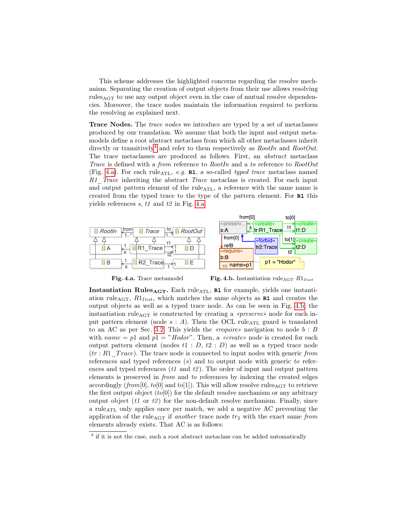This scheme addresses the highlighted concerns regarding the resolve mechanism. Separating the creation of output objects from their use allows resolving rulesAGT to use any output object even in the case of mutual resolve dependencies. Moreover, the trace nodes maintain the information required to perform the resolving as explained next.

Trace Nodes. The *trace nodes* we introduce are typed by a set of metaclasses produced by our translation. We assume that both the input and output metamodels define a root abstract metaclass from which all other metaclasses inherit directly or transitively<sup>4</sup> and refer to them respectively as *RootIn* and *RootOut*. The trace metaclasses are produced as follows. First, an abstract metaclass Trace is defined with a from reference to RootIn and a to reference to RootOut (Fig. 4.a). For each rule<sub>ATL</sub>, e.g. **R1**, a so-called typed trace metaclass named R1 Trace inheriting the abstract Trace metaclass is created. For each input and output pattern element of the rule $_{\text{ATL}}$ , a reference with the same name is created from the typed trace to the type of the pattern element. For **R1** this yields references s,  $t1$  and  $t2$  in Fig. 4.a.







Instantiation Rules<sub>AGT</sub>. Each rule<sub>ATL</sub>, **R1** for example, yields one instantiation rule<sub>AGT</sub>,  $R1_{Inst}$ , which matches the same objects as **R1** and creates the output objects as well as a typed trace node. As can be seen in Fig. 4.b, the instantiation rule $_{\rm AGT}$  is constructed by creating a «*preserve*» node for each input pattern element (node  $s : A$ ). Then the OCL rule<sub>ATL</sub> guard is translated to an AC as per Sec. 3.2. This yields the «require» navigation to node  $b : B$ with name = p1 and p1 = "Hodor". Then, a «create» node is created for each output pattern element (nodes  $t1 : D, t2 : D$ ) as well as a typed trace node  $(tr : R1_T race)$ . The trace node is connected to input nodes with generic from references and typed references  $(s)$  and to output node with generic to references and typed references  $(t1 \text{ and } t2)$ . The order of input and output pattern elements is preserved in from and to references by indexing the created edges accordingly (from [0], to [0] and to [1]). This will allow resolve rules<sub>AGT</sub> to retrieve the first output object  $(to[0])$  for the default resolve mechanism or any arbitrary output object  $(t1 \text{ or } t2)$  for the non-default resolve mechanism. Finally, since a ruleATL only applies once per match, we add a negative AC preventing the application of the rule<sub>AGT</sub> if another trace node  $tr_2$  with the exact same from elements already exists. That AC is as follows:

<sup>&</sup>lt;sup>4</sup> if it is not the case, such a root abstract metaclass can be added automatically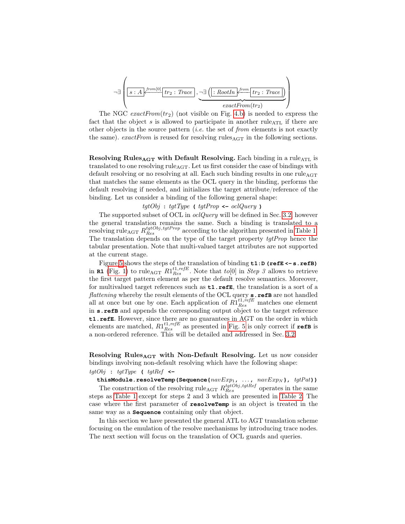$$
\neg \exists \left( \underbrace{s: A \big\vert^{from[0]} \big[ tr_2: Trace \big]}, \underbrace{\neg \exists \left( \underbrace{[:RootIn \big\vert^{from} \big[ tr_2: Trace \big]})}_{exactFrom(tr_2)} \right)
$$

The NGC exact From  $(tr_2)$  (not visible on Fig. 4.b) is needed to express the fact that the object s is allowed to participate in another rule $_{\text{ATL}}$  if there are other objects in the source pattern (*i.e.* the set of *from* elements is not exactly the same). exactFrom is reused for resolving rules $_{\text{AGT}}$  in the following sections.

**Resolving Rules<sub>AGT</sub>** with Default Resolving. Each binding in a rule<sub>ATL</sub> is translated to one resolving rule<sub>AGT</sub>. Let us first consider the case of bindings with default resolving or no resolving at all. Each such binding results in one  $\mu_{\text{AGT}}$ that matches the same elements as the OCL query in the binding, performs the default resolving if needed, and initializes the target attribute/reference of the binding. Let us consider a binding of the following general shape:

tgtObj **:** tgtType **(** tgtProp **<-** oclQuery **)**

The supported subset of OCL in oclQuery will be defined in Sec. 3.2, however the general translation remains the same. Such a binding is translated to a resolving rule<sub>AGT</sub>  $R_{Res}^{tgtObj,tgtProp}$  according to the algorithm presented in Table 1. The translation depends on the type of the target property  $tqtProp$  hence the tabular presentation. Note that multi-valued target attributes are not supported at the current stage.

Figure 5 shows the steps of the translation of binding **t1:D (refE <- s.refB)** in **R1** (Fig. 1) to rule<sub>AGT</sub>  $R1^{t1,refE}_{Res}$ . Note that to[0] in *Step 3* allows to retrieve the first target pattern element as per the default resolve semantics. Moreover, for multivalued target references such as **t1.refE**, the translation is a sort of a flattening whereby the result elements of the OCL query **s**. refB are not handled all at once but one by one. Each application of  $R1_{Res}^{t1,refE}$  matches one element in **s.refB** and appends the corresponding output object to the target reference **t1.refE**. However, since there are no guarantees in AGT on the order in which elements are matched,  $R1^{t1,refE}_{Res}$  as presented in Fig. 5 is only correct if **refB** is a non-ordered reference. This will be detailed and addressed in Sec. 3.2.

**Resolving Rules** $_{\text{AGT}}$  with Non-Default Resolving. Let us now consider bindings involving non-default resolving which have the following shape: tgtObj **:** tgtType **(** tgtRef **<-**

 $\mathbf{thisModule}.\,\mathbf{resourceTemp}(\mathbf{Sequence}\{\mathit{navExp}_1,\ \ldots,\ \mathit{navExp}_N\},\ \mathit{tgtPat})$ The construction of the resolving rule<sub>AGT</sub>  $R_{Res}^{tgtObj,tgtRef}$  operates in the same steps as Table 1 except for steps 2 and 3 which are presented in Table 2. The case where the first parameter of **resolveTemp** is an object is treated in the same way as a **Sequence** containing only that object.

In this section we have presented the general ATL to AGT translation scheme focusing on the emulation of the resolve mechanisms by introducing trace nodes. The next section will focus on the translation of OCL guards and queries.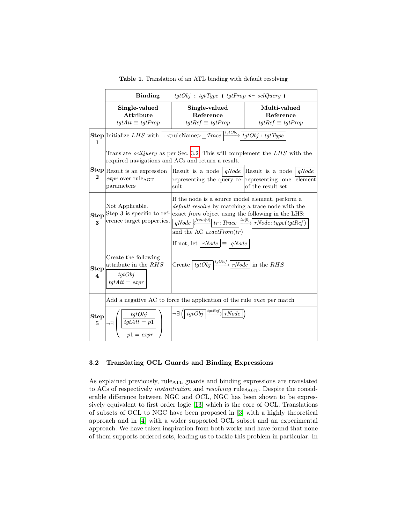|                      | <b>Binding</b>                                                                                                                          | $tgtObj$ : $tgtType$ ( $tgtProp \leftarrow oclQuery$ )                                                                                                                                                                                                                                                                               |                                                                                   |  |  |  |
|----------------------|-----------------------------------------------------------------------------------------------------------------------------------------|--------------------------------------------------------------------------------------------------------------------------------------------------------------------------------------------------------------------------------------------------------------------------------------------------------------------------------------|-----------------------------------------------------------------------------------|--|--|--|
|                      | Single-valued<br>Attribute<br>$tgtAtt \equiv tgtProp$                                                                                   | Single-valued<br>Reference<br>$tgtRef \equiv tgtProp$                                                                                                                                                                                                                                                                                | Multi-valued<br>Reference<br>$tgtRef \equiv tgtProp$                              |  |  |  |
| 1                    | <b>Step</b> Initialize LHS with : < ruleName> Trace                                                                                     | $\sqrt{\frac{tgtObj}{tgtObj}}:tgtType$                                                                                                                                                                                                                                                                                               |                                                                                   |  |  |  |
|                      | Translate <i>oclQuery</i> as per Sec. 3.2. This will complement the $LHS$ with the<br>required navigations and ACs and return a result. |                                                                                                                                                                                                                                                                                                                                      |                                                                                   |  |  |  |
| $\bf{2}$             | $\textbf{Step}$ Result is an expression<br>$expr$ over rule <sub>AGT</sub><br>parameters                                                | Result is a node $ qNode $ Result is a node<br>sult                                                                                                                                                                                                                                                                                  | qNode<br>representing the query re- representing one element<br>of the result set |  |  |  |
| <b>Step</b><br>3     | Not Applicable.<br>Step 3 is specific to ref-<br>erence target properties.                                                              | If the node is a source model element, perform a<br><i>default resolve</i> by matching a trace node with the<br>exact from object using the following in the LHS:<br>$qNode \n\longleftarrow^{from[0]} \negthinspace \{tr: Trace \n\rightarrow^{to[0]} \negthinspace rNode: type(tg tRef)\n\}$<br>and the AC <i>exactFrom</i> $(tr)$ |                                                                                   |  |  |  |
|                      |                                                                                                                                         | If not, let $ rNode  \equiv  qNode $                                                                                                                                                                                                                                                                                                 |                                                                                   |  |  |  |
| <b>Step</b><br>4     | Create the following<br>attribute in the $RHS$<br>tgtObj<br>$tgtAtt = expr$                                                             | Create $\sqrt{tgtObj} \xrightarrow{tgtRef} rNode$ in the RHS                                                                                                                                                                                                                                                                         |                                                                                   |  |  |  |
| ${\bf Step}$<br>$5-$ | Add a negative AC to force the application of the rule <i>once</i> per match                                                            |                                                                                                                                                                                                                                                                                                                                      |                                                                                   |  |  |  |
|                      | $\Box \exists \left( \left. \frac{tgtObj}{tgtAtt = p1} \right  \big  \right)$                                                           | $\neg\exists\left(\fbox{tgtObj}\xrightarrow{tgtRef}\fbox{rNode}\right)$                                                                                                                                                                                                                                                              |                                                                                   |  |  |  |

Table 1. Translation of an ATL binding with default resolving

# 3.2 Translating OCL Guards and Binding Expressions

As explained previously, ruleATL guards and binding expressions are translated to ACs of respectively *instantiation* and *resolving* rules<sub>AGT</sub>. Despite the considerable difference between NGC and OCL, NGC has been shown to be expressively equivalent to first order logic [13] which is the core of OCL. Translations of subsets of OCL to NGC have been proposed in [3] with a highly theoretical approach and in [4] with a wider supported OCL subset and an experimental approach. We have taken inspiration from both works and have found that none of them supports ordered sets, leading us to tackle this problem in particular. In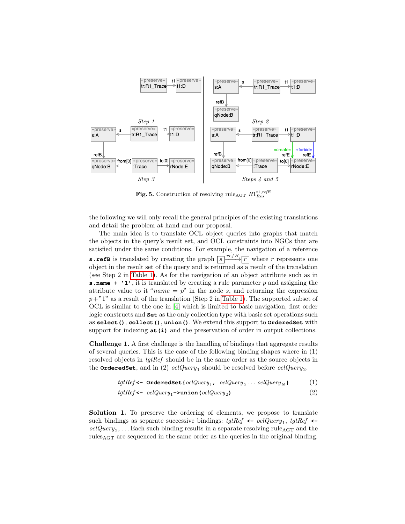

Fig. 5. Construction of resolving rule<sub>AGT</sub>  $R1^{t1,refE}_{Res}$ 

the following we will only recall the general principles of the existing translations and detail the problem at hand and our proposal.

The main idea is to translate OCL object queries into graphs that match the objects in the query's result set, and OCL constraints into NGCs that are satisfied under the same conditions. For example, the navigation of a reference **s. refB** is translated by creating the graph  $\boxed{s} \xrightarrow{refB} \boxed{r}$  where r represents one object in the result set of the query and is returned as a result of the translation (see Step 2 in Table 1). As for the navigation of an object attribute such as in **s.name + '1'**, it is translated by creating a rule parameter p and assigning the attribute value to it "*name* =  $p$ " in the node s, and returning the expression  $p+$ "1" as a result of the translation (Step 2 in Table 1). The supported subset of OCL is similar to the one in [4] which is limited to basic navigation, first order logic constructs and **Set** as the only collection type with basic set operations such as **select()**, **collect()**, **union()**. We extend this support to **OrderedSet** with support for indexing **at(i)** and the preservation of order in output collections.

Challenge 1. A first challenge is the handling of bindings that aggregate results of several queries. This is the case of the following binding shapes where in (1) resolved objects in *tgtRef* should be in the same order as the source objects in the **OrderedSet**, and in (2)  $oclQuery_1$  should be resolved before  $oclQuery_2$ .

$$
tgtRef \leftarrow \text{OrderedSet} \{ \text{oclQuery}_1, \text{ \text{oclQuery}_2 \dots \text{oclQuery}_N \} \tag{1}
$$

$$
tgtRef \leftarrow \; \text{oclQuery}_1 \text{-\texttt{union}} \, (\text{oclQuery}_2) \tag{2}
$$

Solution 1. To preserve the ordering of elements, we propose to translate such bindings as separate successive bindings:  $tgtRef \leftarrow \text{oclQuery}_1, \text{tgtRef} \leftarrow$  $oclQuery_2, \ldots$  Each such binding results in a separate resolving rule<sub>AGT</sub> and the rulesAGT are sequenced in the same order as the queries in the original binding.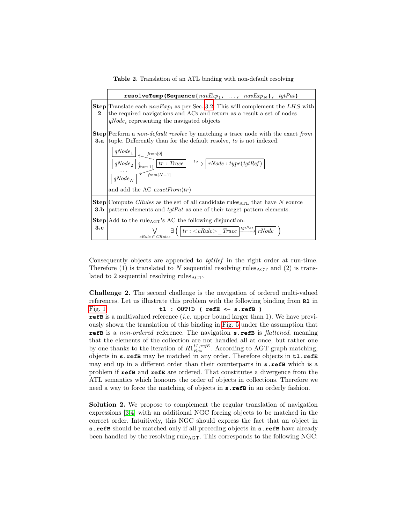Table 2. Translation of an ATL binding with non-default resolving

|          | <b>resolveTemp (Sequence</b> { $navExp_1$ , , $navExp_N$ }, $tgtPat$ )                                                                                                                                                                                                                                                                                                                                                                                                                                 |  |  |  |  |
|----------|--------------------------------------------------------------------------------------------------------------------------------------------------------------------------------------------------------------------------------------------------------------------------------------------------------------------------------------------------------------------------------------------------------------------------------------------------------------------------------------------------------|--|--|--|--|
| $\bf{2}$ | <b>Step</b> Translate each $navExp_i$ as per Sec. 3.2. This will complement the LHS with<br>the required navigations and ACs and return as a result a set of nodes<br>$qNode_i$ representing the navigated objects                                                                                                                                                                                                                                                                                     |  |  |  |  |
| 3.a      | <b>Step</b> Perform a non-default resolve by matching a trace node with the exact from<br>tuple. Differently than for the default resolve, to is not indexed.<br>$\begin{array}{ l l }\hline qNode_1 & \longleftarrow & from[0] \\\hline \hline qNode_2 & \longleftarrow & from[1] \hline \hline \hline \hline \end{array} \begin{array}{ l l }\hline tr: Trace & \xrightarrow{to} & rNode : type(tg tRef) \\\hline \hline \hline \hline \hline \end{array}$<br>and add the AC <i>exactFrom</i> $(tr)$ |  |  |  |  |
|          | <b>Step</b> Compute CRules as the set of all candidate rules $_{\text{ATL}}$ that have N source<br><b>3.b</b> pattern elements and $tqtPat$ as one of their target pattern elements.                                                                                                                                                                                                                                                                                                                   |  |  |  |  |
| 3.c      | <b>Step</b> Add to the rule <sub>AGT</sub> 's AC the following disjunction:<br>$\bigvee_{\mathit{cRule} \ \in \ \mathit{CRules}} \exists \ \Big(\ \underbrace{\ \big(\ \big\vert \ \mathit{tr} : \ \ < \mathit{cRule} \ > \ \ \mathit{Trace} \ \big)} \ \ \mathit{rNode} \ \Big)}$                                                                                                                                                                                                                     |  |  |  |  |

Consequently objects are appended to  $tgtRef$  in the right order at run-time. Therefore (1) is translated to N sequential resolving rules<sub>AGT</sub> and (2) is translated to 2 sequential resolving rules $_{\rm AGT}$ .

Challenge 2. The second challenge is the navigation of ordered multi-valued references. Let us illustrate this problem with the following binding from **R1** in Fig. 1: **t1 : OUT!D ( refE <- s.refB ) refB** is a multivalued reference (*i.e.* upper bound larger than 1). We have previously shown the translation of this binding in Fig. 5 under the assumption that **refB** is a non-ordered reference. The navigation **s.refB** is flattened, meaning that the elements of the collection are not handled all at once, but rather one by one thanks to the iteration of  $R1_{Res}^{t1,refE}$ . According to AGT graph matching, objects in **s.refB** may be matched in any order. Therefore objects in **t1.refE** may end up in a different order than their counterparts in **s.refB** which is a problem if **refB** and **refE** are ordered. That constitutes a divergence from the ATL semantics which honours the order of objects in collections. Therefore we need a way to force the matching of objects in **s.refB** in an orderly fashion.

Solution 2. We propose to complement the regular translation of navigation expressions [3,4] with an additional NGC forcing objects to be matched in the correct order. Intuitively, this NGC should express the fact that an object in **s.refB** should be matched only if all preceding objects in **s.refB** have already been handled by the resolving  $rule_{AGT}$ . This corresponds to the following NGC: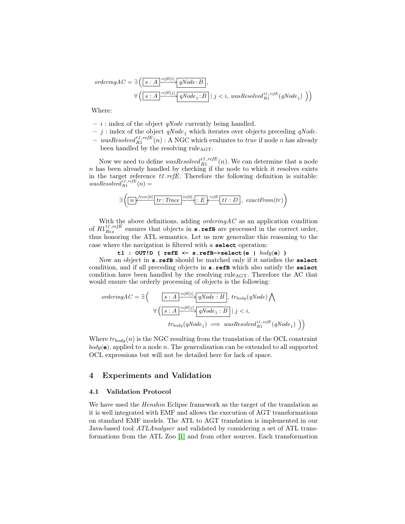ordering  $AC = \exists \left( \boxed{s : A \right) \xrightarrow{refB[i] } }$  $qNode:B$  $\forall \left( \boxed{s:A}^{\text{refB}[j]} \sqrt{qNode_1:B} \mid j < i, \text{wasResolved}_{R1}^{t1,\text{refE}}(qNode_1) \right)$ 

Where:

- $i$ : index of the object  $qNode$  currently being handled.
- j : index of the object  $qNode_1$  which iterates over objects preceding  $qNode$ .
- $-$  wasResolved<sup>t1</sup>,<sup>refE</sup>(n): A NGC which evaluates to *true* if node *n* has already been handled by the resolving rule<sub>AGT</sub>.

Now we need to define  $\textit{wasResolved}_{R1}^{t1,\textit{refE}}(n)$ . We can determine that a node n has been already handled by checking if the node to which it resolves exists in the target reference  $t1.refE$ . Therefore the following definition is suitable:  $wasResolved_{R1}^{t1,refE}(n) =$ 

$$
\exists \left(\boxed{n}^{from[0]}\boxed{tr:Trace} \xrightarrow{to[0]}\boxed{E}^{refE}\boxed{t1:D}, exactFrom(tr)\right)
$$

With the above definitions, adding *orderingAC* as an application condition of  $R1_{Res}^{t1,refE}$  ensures that objects in **s. refB** are processed in the correct order, thus honoring the ATL semantics. Let us now generalize this reasoning to the case where the navigation is filtered with a **select** operation:

**t1 : OUT!D ( refE <- s.refB->select(e |** body(**e**) **)** Now an object in **s.refB** should be matched only if it satisfies the **select** condition, and if all preceding objects in **s.refB** which also satisfy the **select** condition have been handled by the resolving  $rule_{AGT}$ . Therefore the AC that would ensure the orderly processing of objects is the following:

$$
orderingAC = \exists \left( \underbrace{\boxed{s:A \stackrel{refB[i]}{qNode : B}, tr_{body}(qNode) \bigwedge}}_{\forall \left( \boxed{s:A \stackrel{refB[j]}{qNode_1} \middle| qNode_1 : B} \middle| j < i, \right)} \right)
$$

Where  $tr_{body}(n)$  is the NGC resulting from the translation of the OCL constraint  $body(e)$ , applied to a node n. The generalization can be extended to all supported OCL expressions but will not be detailed here for lack of space.

## 4 Experiments and Validation

#### 4.1 Validation Protocol

We have used the *Henshin* Eclipse framework as the target of the translation as it is well integrated with EMF and allows the execution of AGT transformations on standard EMF models. The ATL to AGT translation is implemented in our Java-based tool ATLAnalyser and validated by considering a set of ATL transformations from the ATL Zoo [1] and from other sources. Each transformation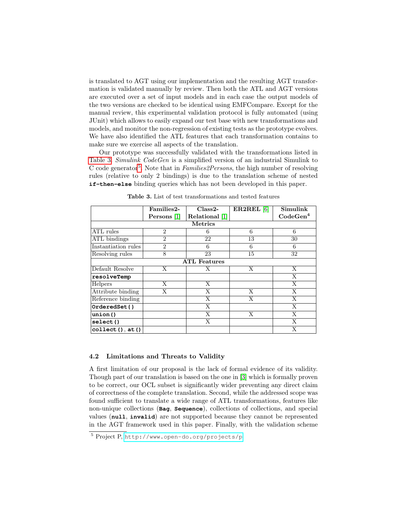is translated to AGT using our implementation and the resulting AGT transformation is validated manually by review. Then both the ATL and AGT versions are executed over a set of input models and in each case the output models of the two versions are checked to be identical using EMFCompare. Except for the manual review, this experimental validation protocol is fully automated (using JUnit) which allows to easily expand our test base with new transformations and models, and monitor the non-regression of existing tests as the prototype evolves. We have also identified the ATL features that each transformation contains to make sure we exercise all aspects of the translation.

Our prototype was successfully validated with the transformations listed in Table 3. Simulink CodeGen is a simplified version of an industrial Simulink to C code generator<sup>5</sup>. Note that in *Families2Persons*, the high number of resolving rules (relative to only 2 bindings) is due to the translation scheme of nested **if-then-else** binding queries which has not been developed in this paper.

|                     | Families2-     | $Class 2-$     | $ER2REL$ [6] | Simulink             |  |  |  |
|---------------------|----------------|----------------|--------------|----------------------|--|--|--|
|                     | Persons  1     | Relational [1] |              | $\mathbf{CodeGen}^4$ |  |  |  |
| <b>Metrics</b>      |                |                |              |                      |  |  |  |
| ATL rules           | $\overline{2}$ | 6              | 6            | 6                    |  |  |  |
| ATL bindings        | $\overline{2}$ | 22             | 13           | 30                   |  |  |  |
| Instantiation rules | $\overline{2}$ | 6              | 6            | 6                    |  |  |  |
| Resolving rules     | 8              | 23             | 15           | 32                   |  |  |  |
| <b>ATL Features</b> |                |                |              |                      |  |  |  |
| Default Resolve     | X              | X.             | X            | X                    |  |  |  |
| resolveTemp         |                |                |              | X                    |  |  |  |
| Helpers             | X              | X              |              | X                    |  |  |  |
| Attribute binding   | X              | $\mathbf{X}$   | X            | X                    |  |  |  |
| Reference binding   |                | X              | Х            | X                    |  |  |  |
| OrderedSet{}        |                | X              |              | X                    |  |  |  |
| union()             |                | X              | X            | X                    |  |  |  |
| select()            |                | X              |              | X                    |  |  |  |
| $collect$ (), at () |                |                |              | X                    |  |  |  |

Table 3. List of test transformations and tested features

#### 4.2 Limitations and Threats to Validity

A first limitation of our proposal is the lack of formal evidence of its validity. Though part of our translation is based on the one in [3] which is formally proven to be correct, our OCL subset is significantly wider preventing any direct claim of correctness of the complete translation. Second, while the addressed scope was found sufficient to translate a wide range of ATL transformations, features like non-unique collections (**Bag**, **Sequence**), collections of collections, and special values (**null**, **invalid**) are not supported because they cannot be represented in the AGT framework used in this paper. Finally, with the validation scheme

<sup>5</sup> Project P, <http://www.open-do.org/projects/p>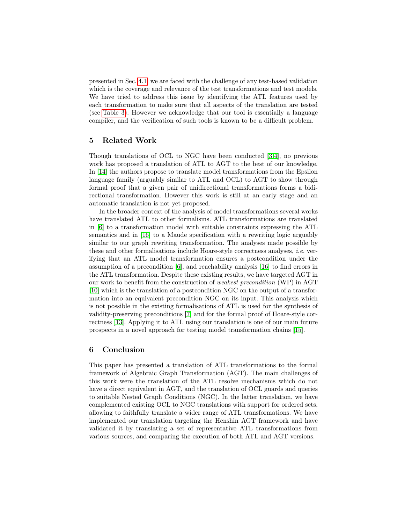presented in Sec. 4.1, we are faced with the challenge of any test-based validation which is the coverage and relevance of the test transformations and test models. We have tried to address this issue by identifying the ATL features used by each transformation to make sure that all aspects of the translation are tested (see Table 3). However we acknowledge that our tool is essentially a language compiler, and the verification of such tools is known to be a difficult problem.

## 5 Related Work

Though translations of OCL to NGC have been conducted [3,4], no previous work has proposed a translation of ATL to AGT to the best of our knowledge. In [14] the authors propose to translate model transformations from the Epsilon language family (arguably similar to ATL and OCL) to AGT to show through formal proof that a given pair of unidirectional transformations forms a bidirectional transformation. However this work is still at an early stage and an automatic translation is not yet proposed.

In the broader context of the analysis of model transformations several works have translated ATL to other formalisms. ATL transformations are translated in [6] to a transformation model with suitable constraints expressing the ATL semantics and in [16] to a Maude specification with a rewriting logic arguably similar to our graph rewriting transformation. The analyses made possible by these and other formalisations include Hoare-style correctness analyses, *i.e.* verifying that an ATL model transformation ensures a postcondition under the assumption of a precondition [6], and reachability analysis [16] to find errors in the ATL transformation. Despite these existing results, we have targeted AGT in our work to benefit from the construction of weakest precondition (WP) in AGT [10] which is the translation of a postcondition NGC on the output of a transformation into an equivalent precondition NGC on its input. This analysis which is not possible in the existing formalisations of ATL is used for the synthesis of validity-preserving preconditions [7] and for the formal proof of Hoare-style correctness [13]. Applying it to ATL using our translation is one of our main future prospects in a novel approach for testing model transformation chains [15].

## 6 Conclusion

This paper has presented a translation of ATL transformations to the formal framework of Algebraic Graph Transformation (AGT). The main challenges of this work were the translation of the ATL resolve mechanisms which do not have a direct equivalent in AGT, and the translation of OCL guards and queries to suitable Nested Graph Conditions (NGC). In the latter translation, we have complemented existing OCL to NGC translations with support for ordered sets, allowing to faithfully translate a wider range of ATL transformations. We have implemented our translation targeting the Henshin AGT framework and have validated it by translating a set of representative ATL transformations from various sources, and comparing the execution of both ATL and AGT versions.